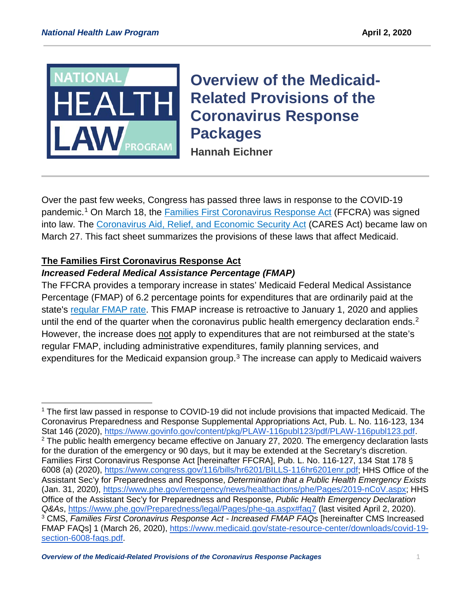

# **Overview of the Medicaid-Related Provisions of the Coronavirus Response Packages**

**Hannah Eichner**

Over the past few weeks, Congress has passed three laws in response to the COVID-19 pandemic.<sup>[1](#page-0-0)</sup> On March 18, the [Families First Coronavirus Response Act](https://www.congress.gov/bill/116th-congress/house-bill/6201/text) (FFCRA) was signed into law. The [Coronavirus Aid, Relief, and Economic Security Act](https://www.congress.gov/bill/116th-congress/house-bill/748/text?q=%7B%22search%22%3A%5B%22actionDateChamber%3A%5C%22116%7CH%7C2020-03-27%5C%22+AND+%28billIsReserved%3A%5C%22N%5C%22+OR+type%3A%5C%22AMENDMENT%5C%22%29%22%5D%7D&r=1&s=2) (CARES Act) became law on March 27. This fact sheet summarizes the provisions of these laws that affect Medicaid.

# **The Families First Coronavirus Response Act**

## *Increased Federal Medical Assistance Percentage (FMAP)*

The FFCRA provides a temporary increase in states' Medicaid Federal Medical Assistance Percentage (FMAP) of 6.2 percentage points for expenditures that are ordinarily paid at the state's [regular FMAP rate.](https://www.federalregister.gov/documents/2018/11/28/2018-25944/federal-financial-participation-in-state-assistance-expenditures-federal-matching-shares-for) This FMAP increase is retroactive to January 1, 2020 and applies until the end of the quarter when the coronavirus public health emergency declaration ends.<sup>[2](#page-0-1)</sup> However, the increase does not apply to expenditures that are not reimbursed at the state's regular FMAP, including administrative expenditures, family planning services, and expenditures for the Medicaid expansion group.<sup>[3](#page-0-2)</sup> The increase can apply to Medicaid waivers

<span id="page-0-2"></span><span id="page-0-1"></span><span id="page-0-0"></span><sup>&</sup>lt;sup>1</sup> The first law passed in response to COVID-19 did not include provisions that impacted Medicaid. The Coronavirus Preparedness and Response Supplemental Appropriations Act, Pub. L. No. 116-123, 134 Stat 146 (2020), [https://www.govinfo.gov/content/pkg/PLAW-116publ123/pdf/PLAW-116publ123.pdf.](https://www.govinfo.gov/content/pkg/PLAW-116publ123/pdf/PLAW-116publ123.pdf)  $2$  The public health emergency became effective on January 27, 2020. The emergency declaration lasts for the duration of the emergency or 90 days, but it may be extended at the Secretary's discretion. Families First Coronavirus Response Act [hereinafter FFCRA], Pub. L. No. 116-127, 134 Stat 178 § 6008 (a) (2020), [https://www.congress.gov/116/bills/hr6201/BILLS-116hr6201enr.pdf;](https://www.congress.gov/116/bills/hr6201/BILLS-116hr6201enr.pdf) HHS Office of the Assistant Sec'y for Preparedness and Response, *Determination that a Public Health Emergency Exists* (Jan. 31, 2020), [https://www.phe.gov/emergency/news/healthactions/phe/Pages/2019-nCoV.aspx;](https://www.phe.gov/emergency/news/healthactions/phe/Pages/2019-nCoV.aspx) HHS Office of the Assistant Sec'y for Preparedness and Response, *Public Health Emergency Declaration Q&As*,<https://www.phe.gov/Preparedness/legal/Pages/phe-qa.aspx#faq7> (last visited April 2, 2020). <sup>3</sup> CMS, *Families First Coronavirus Response Act - Increased FMAP FAQs* [hereinafter CMS Increased FMAP FAQs] 1 (March 26, 2020), [https://www.medicaid.gov/state-resource-center/downloads/covid-19](https://www.medicaid.gov/state-resource-center/downloads/covid-19-section-6008-faqs.pdf) [section-6008-faqs.pdf.](https://www.medicaid.gov/state-resource-center/downloads/covid-19-section-6008-faqs.pdf)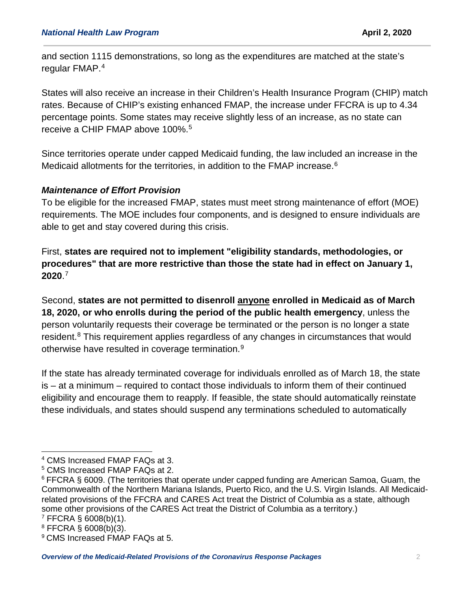and section 1115 demonstrations, so long as the expenditures are matched at the state's regular FMAP.[4](#page-1-0)

States will also receive an increase in their Children's Health Insurance Program (CHIP) match rates. Because of CHIP's existing enhanced FMAP, the increase under FFCRA is up to 4.34 percentage points. Some states may receive slightly less of an increase, as no state can receive a CHIP FMAP above 100%.<sup>[5](#page-1-1)</sup>

Since territories operate under capped Medicaid funding, the law included an increase in the Medicaid allotments for the territories, in addition to the FMAP increase. [6](#page-1-2)

### *Maintenance of Effort Provision*

To be eligible for the increased FMAP, states must meet strong maintenance of effort (MOE) requirements. The MOE includes four components, and is designed to ensure individuals are able to get and stay covered during this crisis.

First, **states are required not to implement "eligibility standards, methodologies, or procedures" that are more restrictive than those the state had in effect on January 1, 2020**. [7](#page-1-3)

Second, **states are not permitted to disenroll anyone enrolled in Medicaid as of March 18, 2020, or who enrolls during the period of the public health emergency**, unless the person voluntarily requests their coverage be terminated or the person is no longer a state resident.<sup>[8](#page-1-4)</sup> This requirement applies regardless of any changes in circumstances that would otherwise have resulted in coverage termination.[9](#page-1-5)

If the state has already terminated coverage for individuals enrolled as of March 18, the state is – at a minimum – required to contact those individuals to inform them of their continued eligibility and encourage them to reapply. If feasible, the state should automatically reinstate these individuals, and states should suspend any terminations scheduled to automatically

<span id="page-1-0"></span> <sup>4</sup> CMS Increased FMAP FAQs at 3.

<span id="page-1-1"></span><sup>5</sup> CMS Increased FMAP FAQs at 2.

<span id="page-1-2"></span><sup>6</sup> FFCRA § 6009. (The territories that operate under capped funding are American Samoa, Guam, the Commonwealth of the Northern Mariana Islands, Puerto Rico, and the U.S. Virgin Islands. All Medicaidrelated provisions of the FFCRA and CARES Act treat the District of Columbia as a state, although some other provisions of the CARES Act treat the District of Columbia as a territory.)  $7$  FFCRA § 6008(b)(1).

<span id="page-1-4"></span><span id="page-1-3"></span> $8$  FFCRA § 6008(b)(3).

<span id="page-1-5"></span><sup>9</sup> CMS Increased FMAP FAQs at 5.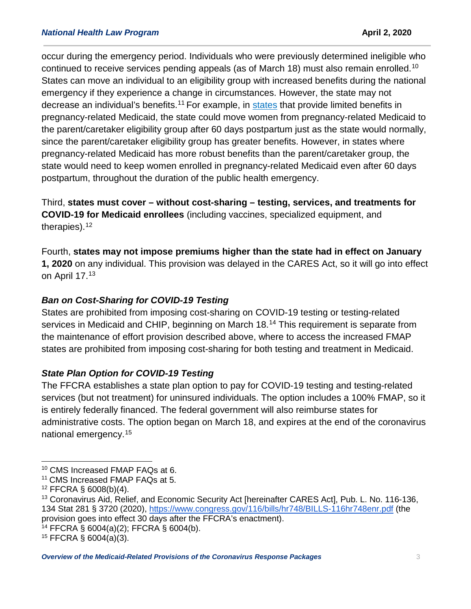occur during the emergency period. Individuals who were previously determined ineligible who continued to receive services pending appeals (as of March 18) must also remain enrolled.<sup>[10](#page-2-0)</sup> States can move an individual to an eligibility group with increased benefits during the national emergency if they experience a change in circumstances. However, the state may not decrease an individual's benefits.<sup>[11](#page-2-1)</sup> For example, in [states](https://www.kff.org/health-reform/state-indicator/medicaid-and-chip-income-eligibility-limits-for-pregnant-women-as-a-percent-of-the-federal-poverty-level/?currentTimeframe=0&sortModel=%7B%22colId%22:%22Location%22,%22sort%22:%22asc%22%7D) that provide limited benefits in pregnancy-related Medicaid, the state could move women from pregnancy-related Medicaid to the parent/caretaker eligibility group after 60 days postpartum just as the state would normally, since the parent/caretaker eligibility group has greater benefits. However, in states where pregnancy-related Medicaid has more robust benefits than the parent/caretaker group, the state would need to keep women enrolled in pregnancy-related Medicaid even after 60 days postpartum, throughout the duration of the public health emergency.

Third, **states must cover – without cost-sharing – testing, services, and treatments for COVID-19 for Medicaid enrollees** (including vaccines, specialized equipment, and therapies).[12](#page-2-2)

Fourth, **states may not impose premiums higher than the state had in effect on January 1, 2020** on any individual. This provision was delayed in the CARES Act, so it will go into effect on April 17.[13](#page-2-3)

# *Ban on Cost-Sharing for COVID-19 Testing*

States are prohibited from imposing cost-sharing on COVID-19 testing or testing-related services in Medicaid and CHIP, beginning on March 18.<sup>[14](#page-2-4)</sup> This requirement is separate from the maintenance of effort provision described above, where to access the increased FMAP states are prohibited from imposing cost-sharing for both testing and treatment in Medicaid.

## *State Plan Option for COVID-19 Testing*

The FFCRA establishes a state plan option to pay for COVID-19 testing and testing-related services (but not treatment) for uninsured individuals. The option includes a 100% FMAP, so it is entirely federally financed. The federal government will also reimburse states for administrative costs. The option began on March 18, and expires at the end of the coronavirus national emergency.[15](#page-2-5)

<span id="page-2-0"></span> <sup>10</sup> CMS Increased FMAP FAQs at 6.

<span id="page-2-1"></span><sup>&</sup>lt;sup>11</sup> CMS Increased FMAP FAQs at 5.

<span id="page-2-2"></span> $12$  FFCRA § 6008(b)(4).

<span id="page-2-3"></span><sup>&</sup>lt;sup>13</sup> Coronavirus Aid, Relief, and Economic Security Act [hereinafter CARES Act], Pub. L. No. 116-136, 134 Stat 281 § 3720 (2020),<https://www.congress.gov/116/bills/hr748/BILLS-116hr748enr.pdf> (the provision goes into effect 30 days after the FFCRA's enactment).

<span id="page-2-4"></span> $14$  FFCRA § 6004(a)(2); FFCRA § 6004(b).

<span id="page-2-5"></span> $15$  FFCRA § 6004(a)(3).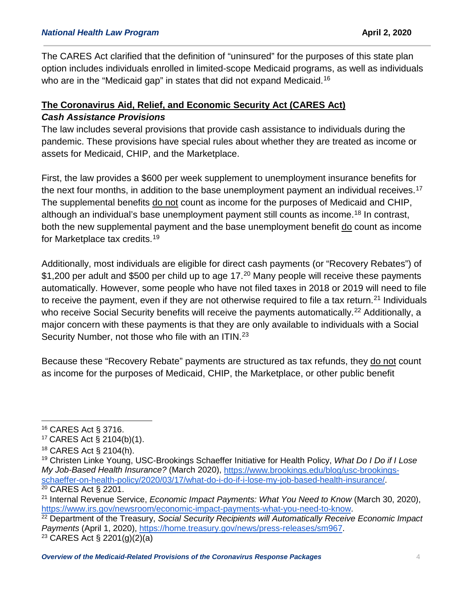The CARES Act clarified that the definition of "uninsured" for the purposes of this state plan option includes individuals enrolled in limited-scope Medicaid programs, as well as individuals who are in the "Medicaid gap" in states that did not expand Medicaid.<sup>[16](#page-3-0)</sup>

# **The Coronavirus Aid, Relief, and Economic Security Act (CARES Act)** *Cash Assistance Provisions*

The law includes several provisions that provide cash assistance to individuals during the pandemic. These provisions have special rules about whether they are treated as income or assets for Medicaid, CHIP, and the Marketplace.

First, the law provides a \$600 per week supplement to unemployment insurance benefits for the next four months, in addition to the base unemployment payment an individual receives.<sup>[17](#page-3-1)</sup> The supplemental benefits do not count as income for the purposes of Medicaid and CHIP, although an individual's base unemployment payment still counts as income.[18](#page-3-2) In contrast, both the new supplemental payment and the base unemployment benefit do count as income for Marketplace tax credits.[19](#page-3-3)

Additionally, most individuals are eligible for direct cash payments (or "Recovery Rebates") of \$1,[20](#page-3-4)0 per adult and \$500 per child up to age 17.<sup>20</sup> Many people will receive these payments automatically. However, some people who have not filed taxes in 2018 or 2019 will need to file to receive the payment, even if they are not otherwise required to file a tax return.<sup>[21](#page-3-5)</sup> Individuals who receive Social Security benefits will receive the payments automatically.<sup>[22](#page-3-6)</sup> Additionally, a major concern with these payments is that they are only available to individuals with a Social Security Number, not those who file with an ITIN.<sup>[23](#page-3-7)</sup>

Because these "Recovery Rebate" payments are structured as tax refunds, they do not count as income for the purposes of Medicaid, CHIP, the Marketplace, or other public benefit

<span id="page-3-7"></span>

<span id="page-3-0"></span> <sup>16</sup> CARES Act § 3716.

<span id="page-3-1"></span><sup>17</sup> CARES Act § 2104(b)(1).

<span id="page-3-2"></span><sup>18</sup> CARES Act § 2104(h).

<span id="page-3-3"></span><sup>19</sup> Christen Linke Young, USC-Brookings Schaeffer Initiative for Health Policy, *What Do I Do if I Lose My Job-Based Health Insurance?* (March 2020), [https://www.brookings.edu/blog/usc-brookings](https://www.brookings.edu/blog/usc-brookings-schaeffer-on-health-policy/2020/03/17/what-do-i-do-if-i-lose-my-job-based-health-insurance/)[schaeffer-on-health-policy/2020/03/17/what-do-i-do-if-i-lose-my-job-based-health-insurance/.](https://www.brookings.edu/blog/usc-brookings-schaeffer-on-health-policy/2020/03/17/what-do-i-do-if-i-lose-my-job-based-health-insurance/)<br><sup>20</sup> CARES Act § 2201.

<span id="page-3-5"></span><span id="page-3-4"></span><sup>&</sup>lt;sup>21</sup> Internal Revenue Service, *Economic Impact Payments: What You Need to Know* (March 30, 2020), https://www.irs.gov/newsroom/economic-impact-payments-what-you-need-to-know.

<span id="page-3-6"></span><sup>&</sup>lt;sup>22</sup> Department of the Treasury, *Social Security Recipients will Automatically Receive Economic Impact Payments* (April 1, 2020), [https://home.treasury.gov/news/press-releases/sm967.](https://home.treasury.gov/news/press-releases/sm967)<br><sup>23</sup> CARES Act § 2201(g)(2)(a)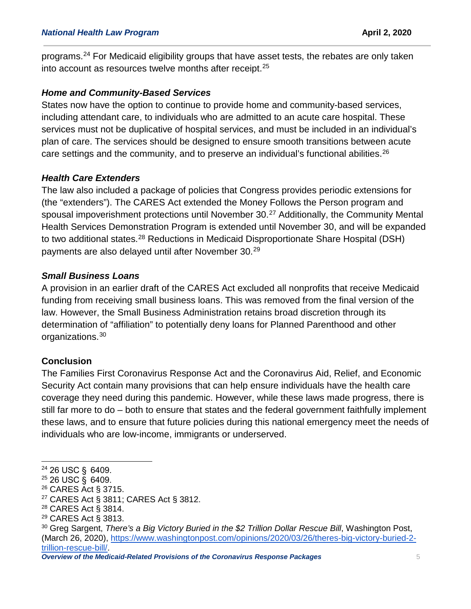programs.<sup>[24](#page-4-0)</sup> For Medicaid eligibility groups that have asset tests, the rebates are only taken into account as resources twelve months after receipt.<sup>[25](#page-4-1)</sup>

#### *Home and Community-Based Services*

States now have the option to continue to provide home and community-based services, including attendant care, to individuals who are admitted to an acute care hospital. These services must not be duplicative of hospital services, and must be included in an individual's plan of care. The services should be designed to ensure smooth transitions between acute care settings and the community, and to preserve an individual's functional abilities.<sup>[26](#page-4-2)</sup>

#### *Health Care Extenders*

The law also included a package of policies that Congress provides periodic extensions for (the "extenders"). The CARES Act extended the Money Follows the Person program and spousal impoverishment protections until November 30.<sup>[27](#page-4-3)</sup> Additionally, the Community Mental Health Services Demonstration Program is extended until November 30, and will be expanded to two additional states.[28](#page-4-4) Reductions in Medicaid Disproportionate Share Hospital (DSH) payments are also delayed until after November 30. [29](#page-4-5)

### *Small Business Loans*

A provision in an earlier draft of the CARES Act excluded all nonprofits that receive Medicaid funding from receiving small business loans. This was removed from the final version of the law. However, the Small Business Administration retains broad discretion through its determination of "affiliation" to potentially deny loans for Planned Parenthood and other organizations.[30](#page-4-6)

## **Conclusion**

The Families First Coronavirus Response Act and the Coronavirus Aid, Relief, and Economic Security Act contain many provisions that can help ensure individuals have the health care coverage they need during this pandemic. However, while these laws made progress, there is still far more to do – both to ensure that states and the federal government faithfully implement these laws, and to ensure that future policies during this national emergency meet the needs of individuals who are low-income, immigrants or underserved.

<span id="page-4-0"></span> <sup>24</sup> 26 USC §  6409.

<span id="page-4-1"></span><sup>25</sup> 26 USC §  6409.

<span id="page-4-2"></span><sup>26</sup> CARES Act § 3715.

<span id="page-4-3"></span><sup>27</sup> CARES Act § 3811; CARES Act § 3812.

<span id="page-4-4"></span><sup>28</sup> CARES Act § 3814.

<span id="page-4-5"></span><sup>29</sup> CARES Act § 3813.

<span id="page-4-6"></span><sup>&</sup>lt;sup>30</sup> Greg Sargent, *There's a Big Victory Buried in the \$2 Trillion Dollar Rescue Bill*, Washington Post, (March 26, 2020), [https://www.washingtonpost.com/opinions/2020/03/26/theres-big-victory-buried-2](https://www.washingtonpost.com/opinions/2020/03/26/theres-big-victory-buried-2-trillion-rescue-bill/) [trillion-rescue-bill/.](https://www.washingtonpost.com/opinions/2020/03/26/theres-big-victory-buried-2-trillion-rescue-bill/)

*Overview of the Medicaid-Related Provisions of the Coronavirus Response Packages* 5